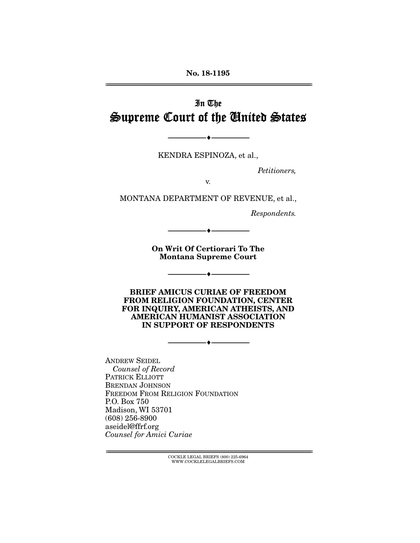No. 18-1195 ================================================================================================================

# In The Supreme Court of the United States

KENDRA ESPINOZA, et al.,

--------------------------------- ---------------------------------

*Petitioners,* 

v.

MONTANA DEPARTMENT OF REVENUE, et al.,

*Respondents.* 

On Writ Of Certiorari To The Montana Supreme Court

--------------------------------- ---------------------------------

--------------------------------- ---------------------------------

BRIEF AMICUS CURIAE OF FREEDOM FROM RELIGION FOUNDATION, CENTER FOR INQUIRY, AMERICAN ATHEISTS, AND AMERICAN HUMANIST ASSOCIATION IN SUPPORT OF RESPONDENTS

--------------------------------- ---------------------------------

ANDREW SEIDEL *Counsel of Record* PATRICK ELLIOTT BRENDAN JOHNSON FREEDOM FROM RELIGION FOUNDATION P.O. Box 750 Madison, WI 53701 (608) 256-8900 aseidel@ffrf.org *Counsel for Amici Curiae* 

> $\text{COCKLE LEGAL BRIEFS}$  (800) 225-6964 WWW.COCKLELEGALBRIEFS.COM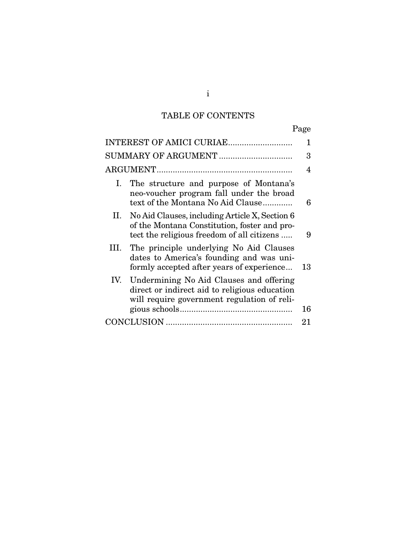# TABLE OF CONTENTS

| INTEREST OF AMICI CURIAE                                                                                                                         | 1  |
|--------------------------------------------------------------------------------------------------------------------------------------------------|----|
| SUMMARY OF ARGUMENT                                                                                                                              | 3  |
|                                                                                                                                                  | 4  |
| The structure and purpose of Montana's<br>Ι.<br>neo-voucher program fall under the broad<br>text of the Montana No Aid Clause                    | 6  |
| II. No Aid Clauses, including Article X, Section 6<br>of the Montana Constitution, foster and pro-<br>tect the religious freedom of all citizens | 9  |
| III. The principle underlying No Aid Clauses<br>dates to America's founding and was uni-<br>formly accepted after years of experience            | 13 |
| IV. Undermining No Aid Clauses and offering<br>direct or indirect aid to religious education<br>will require government regulation of reli-      |    |
|                                                                                                                                                  | 16 |
|                                                                                                                                                  | 21 |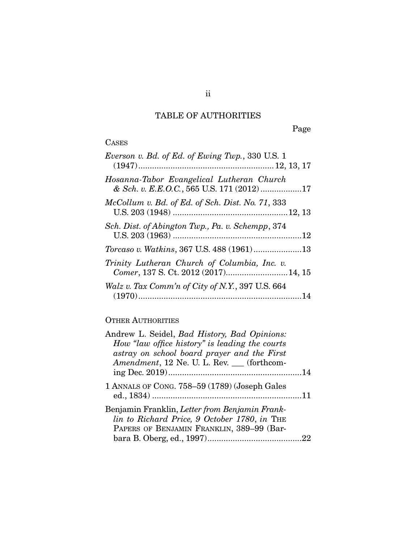## TABLE OF AUTHORITIES

Page

| ۰.<br>− |
|---------|
|---------|

| Everson v. Bd. of Ed. of Ewing Twp., 330 U.S. 1                                        |
|----------------------------------------------------------------------------------------|
| Hosanna-Tabor Evangelical Lutheran Church<br>& Sch. v. E.E.O.C., 565 U.S. 171 (2012)17 |
| $McCollum$ v. Bd. of Ed. of Sch. Dist. No. 71, 333                                     |
| Sch. Dist. of Abington Twp., Pa. v. Schempp, 374                                       |
| Torcaso v. Watkins, 367 U.S. 488 (1961)13                                              |
| Trinity Lutheran Church of Columbia, Inc. v.<br>Comer, 137 S. Ct. 2012 (2017)14, 15    |
| Walz v. Tax Comm'n of City of N.Y., 397 U.S. 664                                       |

## OTHER AUTHORITIES

| Andrew L. Seidel, <i>Bad History</i> , <i>Bad Opinions</i> : |  |
|--------------------------------------------------------------|--|
| How "law office history" is leading the courts               |  |
| astray on school board prayer and the First                  |  |
| Amendment, 12 Ne. U. L. Rev. (forthcom-                      |  |
|                                                              |  |
| 1 ANNALS OF CONG. 758-59 (1789) (Joseph Gales                |  |
| Benjamin Franklin, Letter from Benjamin Frank-               |  |
| lin to Richard Price, 9 October 1780, in THE                 |  |
| PAPERS OF BENJAMIN FRANKLIN, 389-99 (Bar-                    |  |
|                                                              |  |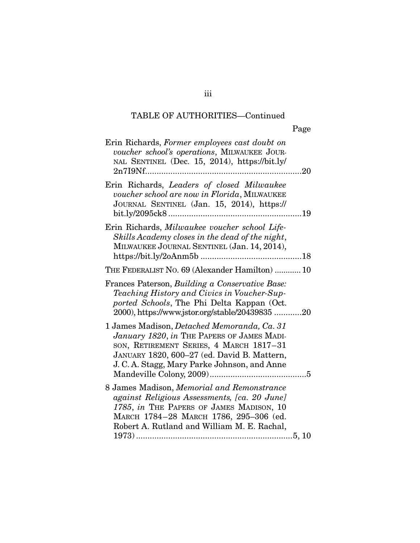## TABLE OF AUTHORITIES—Continued

| Erin Richards, Former employees cast doubt on<br>voucher school's operations, MILWAUKEE JOUR-<br>NAL SENTINEL (Dec. 15, 2014), https://bit.ly/<br>$2n719Nf$<br>.20                                                                          |  |
|---------------------------------------------------------------------------------------------------------------------------------------------------------------------------------------------------------------------------------------------|--|
| Erin Richards, Leaders of closed Milwaukee<br>voucher school are now in Florida, MILWAUKEE<br>JOURNAL SENTINEL (Jan. 15, 2014), https://                                                                                                    |  |
| Erin Richards, Milwaukee voucher school Life-<br>Skills Academy closes in the dead of the night,<br>MILWAUKEE JOURNAL SENTINEL (Jan. 14, 2014),                                                                                             |  |
| THE FEDERALIST NO. 69 (Alexander Hamilton)  10                                                                                                                                                                                              |  |
| Frances Paterson, Building a Conservative Base:<br>Teaching History and Civics in Voucher-Sup-<br>ported Schools, The Phi Delta Kappan (Oct.<br>2000), https://www.jstor.org/stable/20439835 20                                             |  |
| 1 James Madison, <i>Detached Memoranda</i> , Ca. 31<br>January 1820, in THE PAPERS OF JAMES MADI-<br>SON, RETIREMENT SERIES, 4 MARCH 1817-31<br>JANUARY 1820, 600-27 (ed. David B. Mattern,<br>J. C. A. Stagg, Mary Parke Johnson, and Anne |  |
| 8 James Madison, Memorial and Remonstrance<br>against Religious Assessments, [ca. 20 June]<br>1785, in THE PAPERS OF JAMES MADISON, 10<br>MARCH 1784-28 MARCH 1786, 295-306 (ed.<br>Robert A. Rutland and William M. E. Rachal,<br>5, 10    |  |

iii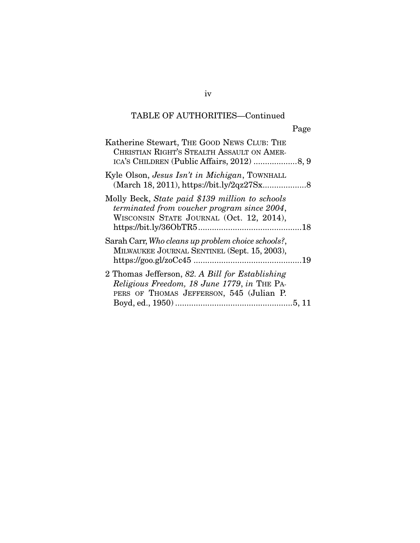# TABLE OF AUTHORITIES—Continued

| Katherine Stewart, THE GOOD NEWS CLUB: THE<br>CHRISTIAN RIGHT'S STEALTH ASSAULT ON AMER-                                                   |  |
|--------------------------------------------------------------------------------------------------------------------------------------------|--|
| Kyle Olson, <i>Jesus Isn't in Michigan</i> , TOWNHALL                                                                                      |  |
| Molly Beck, State paid \$139 million to schools<br>terminated from voucher program since 2004,<br>WISCONSIN STATE JOURNAL (Oct. 12, 2014), |  |
| Sarah Carr, Who cleans up problem choice schools?,<br>MILWAUKEE JOURNAL SENTINEL (Sept. 15, 2003),                                         |  |
| 2 Thomas Jefferson, 82. A Bill for Establishing<br>Religious Freedom, 18 June 1779, in THE PA-<br>PERS OF THOMAS JEFFERSON, 545 (Julian P. |  |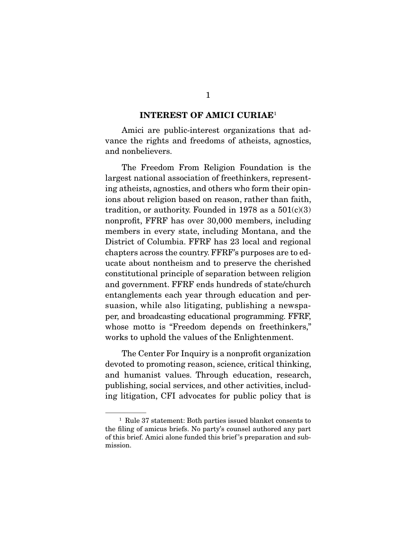#### INTEREST OF AMICI CURIAE<sup>1</sup>

Amici are public-interest organizations that advance the rights and freedoms of atheists, agnostics, and nonbelievers.

 The Freedom From Religion Foundation is the largest national association of freethinkers, representing atheists, agnostics, and others who form their opinions about religion based on reason, rather than faith, tradition, or authority. Founded in 1978 as a  $501(c)(3)$ nonprofit, FFRF has over 30,000 members, including members in every state, including Montana, and the District of Columbia. FFRF has 23 local and regional chapters across the country. FFRF's purposes are to educate about nontheism and to preserve the cherished constitutional principle of separation between religion and government. FFRF ends hundreds of state/church entanglements each year through education and persuasion, while also litigating, publishing a newspaper, and broadcasting educational programming. FFRF, whose motto is "Freedom depends on freethinkers," works to uphold the values of the Enlightenment.

 The Center For Inquiry is a nonprofit organization devoted to promoting reason, science, critical thinking, and humanist values. Through education, research, publishing, social services, and other activities, including litigation, CFI advocates for public policy that is

<sup>1</sup> Rule 37 statement: Both parties issued blanket consents to the filing of amicus briefs. No party's counsel authored any part of this brief. Amici alone funded this brief 's preparation and submission.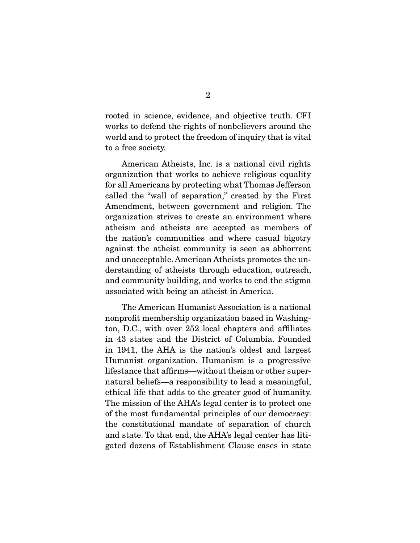rooted in science, evidence, and objective truth. CFI works to defend the rights of nonbelievers around the world and to protect the freedom of inquiry that is vital to a free society.

 American Atheists, Inc. is a national civil rights organization that works to achieve religious equality for all Americans by protecting what Thomas Jefferson called the "wall of separation," created by the First Amendment, between government and religion. The organization strives to create an environment where atheism and atheists are accepted as members of the nation's communities and where casual bigotry against the atheist community is seen as abhorrent and unacceptable. American Atheists promotes the understanding of atheists through education, outreach, and community building, and works to end the stigma associated with being an atheist in America.

 The American Humanist Association is a national nonprofit membership organization based in Washington, D.C., with over 252 local chapters and affiliates in 43 states and the District of Columbia. Founded in 1941, the AHA is the nation's oldest and largest Humanist organization. Humanism is a progressive lifestance that affirms—without theism or other supernatural beliefs—a responsibility to lead a meaningful, ethical life that adds to the greater good of humanity. The mission of the AHA's legal center is to protect one of the most fundamental principles of our democracy: the constitutional mandate of separation of church and state. To that end, the AHA's legal center has litigated dozens of Establishment Clause cases in state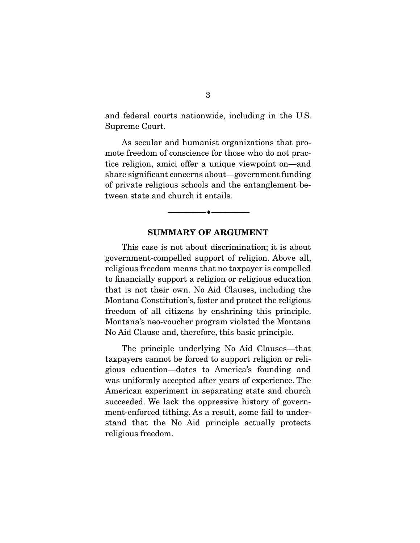and federal courts nationwide, including in the U.S. Supreme Court.

 As secular and humanist organizations that promote freedom of conscience for those who do not practice religion, amici offer a unique viewpoint on—and share significant concerns about—government funding of private religious schools and the entanglement between state and church it entails.

#### SUMMARY OF ARGUMENT

--------------------------------- ---------------------------------

 This case is not about discrimination; it is about government-compelled support of religion. Above all, religious freedom means that no taxpayer is compelled to financially support a religion or religious education that is not their own. No Aid Clauses, including the Montana Constitution's, foster and protect the religious freedom of all citizens by enshrining this principle. Montana's neo-voucher program violated the Montana No Aid Clause and, therefore, this basic principle.

 The principle underlying No Aid Clauses—that taxpayers cannot be forced to support religion or religious education—dates to America's founding and was uniformly accepted after years of experience. The American experiment in separating state and church succeeded. We lack the oppressive history of government-enforced tithing. As a result, some fail to understand that the No Aid principle actually protects religious freedom.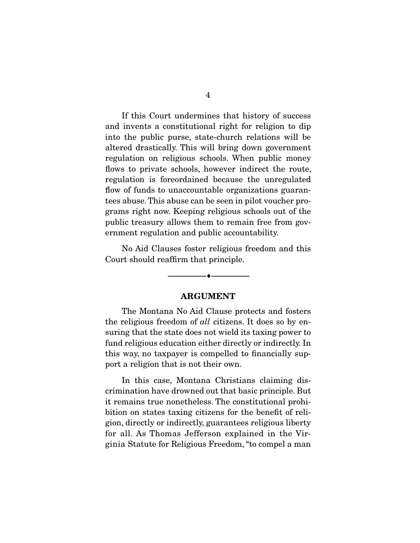If this Court undermines that history of success and invents a constitutional right for religion to dip into the public purse, state-church relations will be altered drastically. This will bring down government regulation on religious schools. When public money flows to private schools, however indirect the route, regulation is foreordained because the unregulated flow of funds to unaccountable organizations guarantees abuse. This abuse can be seen in pilot voucher programs right now. Keeping religious schools out of the public treasury allows them to remain free from government regulation and public accountability.

 No Aid Clauses foster religious freedom and this Court should reaffirm that principle.

#### ARGUMENT

--------------------------------- ---------------------------------

 The Montana No Aid Clause protects and fosters the religious freedom of *all* citizens. It does so by ensuring that the state does not wield its taxing power to fund religious education either directly or indirectly. In this way, no taxpayer is compelled to financially support a religion that is not their own.

 In this case, Montana Christians claiming discrimination have drowned out that basic principle. But it remains true nonetheless. The constitutional prohibition on states taxing citizens for the benefit of religion, directly or indirectly, guarantees religious liberty for all. As Thomas Jefferson explained in the Virginia Statute for Religious Freedom, "to compel a man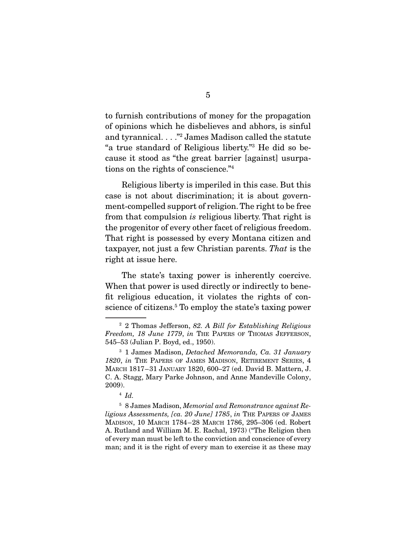to furnish contributions of money for the propagation of opinions which he disbelieves and abhors, is sinful and tyrannical. . . ."2 James Madison called the statute "a true standard of Religious liberty."3 He did so because it stood as "the great barrier [against] usurpations on the rights of conscience."4

 Religious liberty is imperiled in this case. But this case is not about discrimination; it is about government-compelled support of religion. The right to be free from that compulsion *is* religious liberty. That right is the progenitor of every other facet of religious freedom. That right is possessed by every Montana citizen and taxpayer, not just a few Christian parents. *That* is the right at issue here.

 The state's taxing power is inherently coercive. When that power is used directly or indirectly to benefit religious education, it violates the rights of conscience of citizens.<sup>5</sup> To employ the state's taxing power

<sup>5</sup> 8 James Madison, *Memorial and Remonstrance against Religious Assessments, [ca. 20 June] 1785*, *in* THE PAPERS OF JAMES MADISON, 10 MARCH 1784–28 MARCH 1786, 295–306 (ed. Robert A. Rutland and William M. E. Rachal, 1973) ("The Religion then of every man must be left to the conviction and conscience of every man; and it is the right of every man to exercise it as these may

<sup>2</sup> 2 Thomas Jefferson, *82. A Bill for Establishing Religious Freedom, 18 June 1779*, *in* THE PAPERS OF THOMAS JEFFERSON, 545–53 (Julian P. Boyd, ed., 1950).

<sup>3</sup> 1 James Madison, *Detached Memoranda, Ca. 31 January 1820*, *in* THE PAPERS OF JAMES MADISON, RETIREMENT SERIES, 4 MARCH 1817–31 JANUARY 1820, 600–27 (ed. David B. Mattern, J. C. A. Stagg, Mary Parke Johnson, and Anne Mandeville Colony, 2009).

<sup>4</sup> *Id.*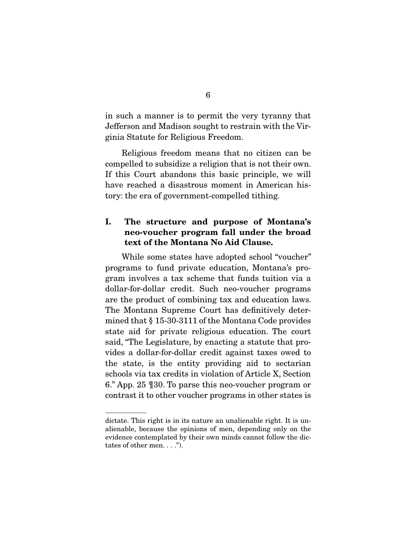in such a manner is to permit the very tyranny that Jefferson and Madison sought to restrain with the Virginia Statute for Religious Freedom.

 Religious freedom means that no citizen can be compelled to subsidize a religion that is not their own. If this Court abandons this basic principle, we will have reached a disastrous moment in American history: the era of government-compelled tithing.

## I. The structure and purpose of Montana's neo-voucher program fall under the broad text of the Montana No Aid Clause.

 While some states have adopted school "voucher" programs to fund private education, Montana's program involves a tax scheme that funds tuition via a dollar-for-dollar credit. Such neo-voucher programs are the product of combining tax and education laws. The Montana Supreme Court has definitively determined that § 15-30-3111 of the Montana Code provides state aid for private religious education. The court said, "The Legislature, by enacting a statute that provides a dollar-for-dollar credit against taxes owed to the state, is the entity providing aid to sectarian schools via tax credits in violation of Article X, Section 6." App. 25 ¶30. To parse this neo-voucher program or contrast it to other voucher programs in other states is

dictate. This right is in its nature an unalienable right. It is unalienable, because the opinions of men, depending only on the evidence contemplated by their own minds cannot follow the dictates of other men. . . .").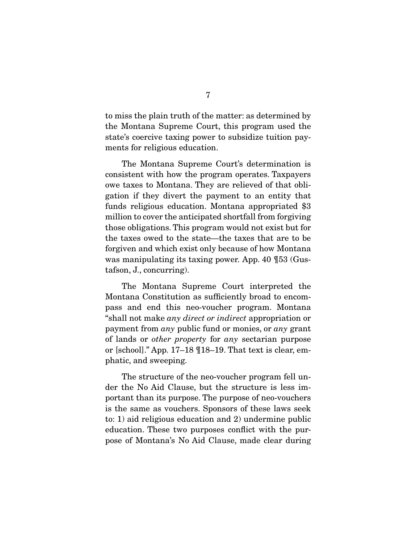to miss the plain truth of the matter: as determined by the Montana Supreme Court, this program used the state's coercive taxing power to subsidize tuition payments for religious education.

 The Montana Supreme Court's determination is consistent with how the program operates. Taxpayers owe taxes to Montana. They are relieved of that obligation if they divert the payment to an entity that funds religious education. Montana appropriated \$3 million to cover the anticipated shortfall from forgiving those obligations. This program would not exist but for the taxes owed to the state—the taxes that are to be forgiven and which exist only because of how Montana was manipulating its taxing power. App. 40 ¶53 (Gustafson, J., concurring).

 The Montana Supreme Court interpreted the Montana Constitution as sufficiently broad to encompass and end this neo-voucher program. Montana "shall not make *any direct or indirect* appropriation or payment from *any* public fund or monies, or *any* grant of lands or *other property* for *any* sectarian purpose or [school]." App. 17–18 ¶18–19. That text is clear, emphatic, and sweeping.

 The structure of the neo-voucher program fell under the No Aid Clause, but the structure is less important than its purpose. The purpose of neo-vouchers is the same as vouchers. Sponsors of these laws seek to: 1) aid religious education and 2) undermine public education. These two purposes conflict with the purpose of Montana's No Aid Clause, made clear during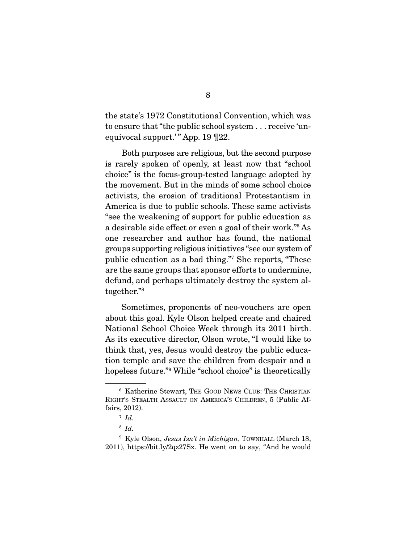the state's 1972 Constitutional Convention, which was to ensure that "the public school system . . . receive 'unequivocal support.'" App. 19 [22.

 Both purposes are religious, but the second purpose is rarely spoken of openly, at least now that "school choice" is the focus-group-tested language adopted by the movement. But in the minds of some school choice activists, the erosion of traditional Protestantism in America is due to public schools. These same activists "see the weakening of support for public education as a desirable side effect or even a goal of their work."6 As one researcher and author has found, the national groups supporting religious initiatives "see our system of public education as a bad thing."7 She reports, "These are the same groups that sponsor efforts to undermine, defund, and perhaps ultimately destroy the system altogether."8

 Sometimes, proponents of neo-vouchers are open about this goal. Kyle Olson helped create and chaired National School Choice Week through its 2011 birth. As its executive director, Olson wrote, "I would like to think that, yes, Jesus would destroy the public education temple and save the children from despair and a hopeless future."9 While "school choice" is theoretically

<sup>6</sup> Katherine Stewart, THE GOOD NEWS CLUB: THE CHRISTIAN RIGHT'S STEALTH ASSAULT ON AMERICA'S CHILDREN, 5 (Public Affairs, 2012).

 $^7$  *Id.* 

<sup>8</sup> *Id.* 

<sup>9</sup> Kyle Olson, *Jesus Isn't in Michigan*, TOWNHALL (March 18, 2011), https://bit.ly/2qz27Sx. He went on to say, "And he would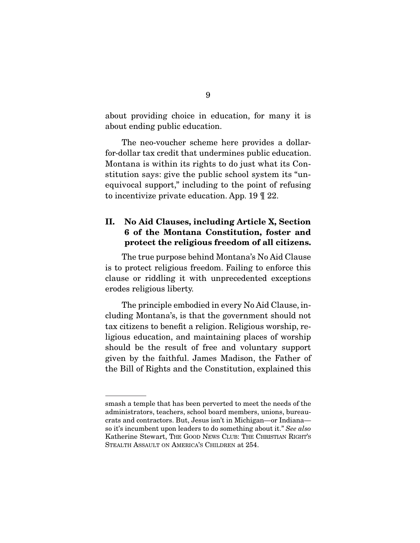about providing choice in education, for many it is about ending public education.

 The neo-voucher scheme here provides a dollarfor-dollar tax credit that undermines public education. Montana is within its rights to do just what its Constitution says: give the public school system its "unequivocal support," including to the point of refusing to incentivize private education. App. 19 ¶ 22.

## II. No Aid Clauses, including Article X, Section 6 of the Montana Constitution, foster and protect the religious freedom of all citizens.

 The true purpose behind Montana's No Aid Clause is to protect religious freedom. Failing to enforce this clause or riddling it with unprecedented exceptions erodes religious liberty.

 The principle embodied in every No Aid Clause, including Montana's, is that the government should not tax citizens to benefit a religion. Religious worship, religious education, and maintaining places of worship should be the result of free and voluntary support given by the faithful. James Madison, the Father of the Bill of Rights and the Constitution, explained this

smash a temple that has been perverted to meet the needs of the administrators, teachers, school board members, unions, bureaucrats and contractors. But, Jesus isn't in Michigan—or Indiana so it's incumbent upon leaders to do something about it." *See also* Katherine Stewart, THE GOOD NEWS CLUB: THE CHRISTIAN RIGHT'S STEALTH ASSAULT ON AMERICA'S CHILDREN at 254.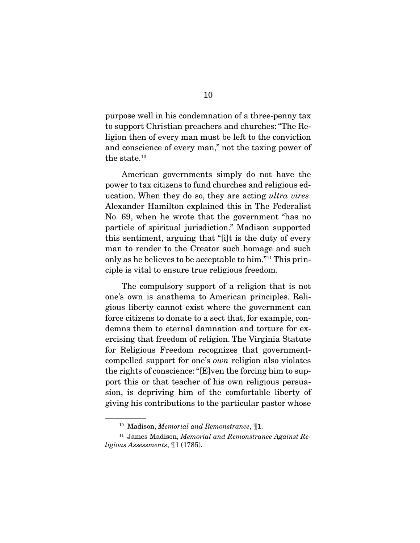purpose well in his condemnation of a three-penny tax to support Christian preachers and churches: "The Religion then of every man must be left to the conviction and conscience of every man," not the taxing power of the state.10

 American governments simply do not have the power to tax citizens to fund churches and religious education. When they do so, they are acting *ultra vires*. Alexander Hamilton explained this in The Federalist No. 69, when he wrote that the government "has no particle of spiritual jurisdiction." Madison supported this sentiment, arguing that "[i]t is the duty of every man to render to the Creator such homage and such only as he believes to be acceptable to him."11 This principle is vital to ensure true religious freedom.

 The compulsory support of a religion that is not one's own is anathema to American principles. Religious liberty cannot exist where the government can force citizens to donate to a sect that, for example, condemns them to eternal damnation and torture for exercising that freedom of religion. The Virginia Statute for Religious Freedom recognizes that governmentcompelled support for one's *own* religion also violates the rights of conscience: "[E]ven the forcing him to support this or that teacher of his own religious persuasion, is depriving him of the comfortable liberty of giving his contributions to the particular pastor whose

<sup>10</sup> Madison, *Memorial and Remonstrance*, ¶1.

<sup>11</sup> James Madison, *Memorial and Remonstrance Against Religious Assessments*, ¶1 (1785).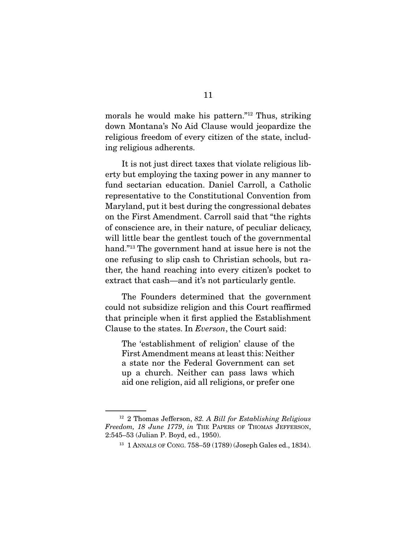morals he would make his pattern."12 Thus, striking down Montana's No Aid Clause would jeopardize the religious freedom of every citizen of the state, including religious adherents.

 It is not just direct taxes that violate religious liberty but employing the taxing power in any manner to fund sectarian education. Daniel Carroll, a Catholic representative to the Constitutional Convention from Maryland, put it best during the congressional debates on the First Amendment. Carroll said that "the rights of conscience are, in their nature, of peculiar delicacy, will little bear the gentlest touch of the governmental hand."13 The government hand at issue here is not the one refusing to slip cash to Christian schools, but rather, the hand reaching into every citizen's pocket to extract that cash—and it's not particularly gentle.

 The Founders determined that the government could not subsidize religion and this Court reaffirmed that principle when it first applied the Establishment Clause to the states. In *Everson*, the Court said:

The 'establishment of religion' clause of the First Amendment means at least this: Neither a state nor the Federal Government can set up a church. Neither can pass laws which aid one religion, aid all religions, or prefer one

<sup>12</sup> 2 Thomas Jefferson, *82. A Bill for Establishing Religious Freedom, 18 June 1779*, *in* THE PAPERS OF THOMAS JEFFERSON, 2:545–53 (Julian P. Boyd, ed., 1950).

<sup>13</sup> 1 ANNALS OF CONG. 758–59 (1789) (Joseph Gales ed., 1834).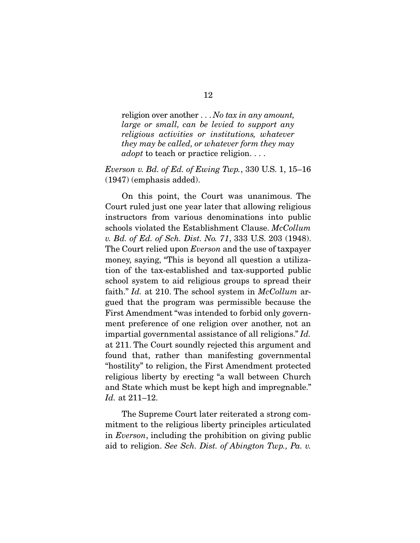religion over another . . . *No tax in any amount, large or small, can be levied to support any religious activities or institutions, whatever they may be called, or whatever form they may adopt* to teach or practice religion. . . .

### *Everson v. Bd. of Ed. of Ewing Twp.*, 330 U.S. 1, 15–16 (1947) (emphasis added).

 On this point, the Court was unanimous. The Court ruled just one year later that allowing religious instructors from various denominations into public schools violated the Establishment Clause. *McCollum v. Bd. of Ed. of Sch. Dist. No. 71*, 333 U.S. 203 (1948). The Court relied upon *Everson* and the use of taxpayer money, saying, "This is beyond all question a utilization of the tax-established and tax-supported public school system to aid religious groups to spread their faith." *Id.* at 210. The school system in *McCollum* argued that the program was permissible because the First Amendment "was intended to forbid only government preference of one religion over another, not an impartial governmental assistance of all religions." *Id.* at 211. The Court soundly rejected this argument and found that, rather than manifesting governmental "hostility" to religion, the First Amendment protected religious liberty by erecting "a wall between Church and State which must be kept high and impregnable." *Id.* at 211–12.

 The Supreme Court later reiterated a strong commitment to the religious liberty principles articulated in *Everson*, including the prohibition on giving public aid to religion. *See Sch. Dist. of Abington Twp., Pa. v.*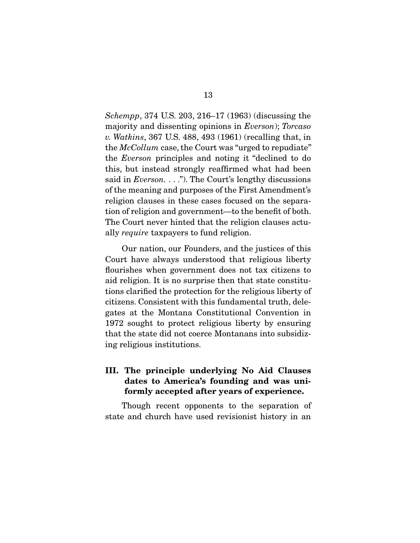*Schempp*, 374 U.S. 203, 216–17 (1963) (discussing the majority and dissenting opinions in *Everson*); *Torcaso v. Watkins*, 367 U.S. 488, 493 (1961) (recalling that, in the *McCollum* case, the Court was "urged to repudiate" the *Everson* principles and noting it "declined to do this, but instead strongly reaffirmed what had been said in *Everson.* . . ."). The Court's lengthy discussions of the meaning and purposes of the First Amendment's religion clauses in these cases focused on the separation of religion and government—to the benefit of both. The Court never hinted that the religion clauses actually *require* taxpayers to fund religion.

 Our nation, our Founders, and the justices of this Court have always understood that religious liberty flourishes when government does not tax citizens to aid religion. It is no surprise then that state constitutions clarified the protection for the religious liberty of citizens. Consistent with this fundamental truth, delegates at the Montana Constitutional Convention in 1972 sought to protect religious liberty by ensuring that the state did not coerce Montanans into subsidizing religious institutions.

## III. The principle underlying No Aid Clauses dates to America's founding and was uniformly accepted after years of experience.

 Though recent opponents to the separation of state and church have used revisionist history in an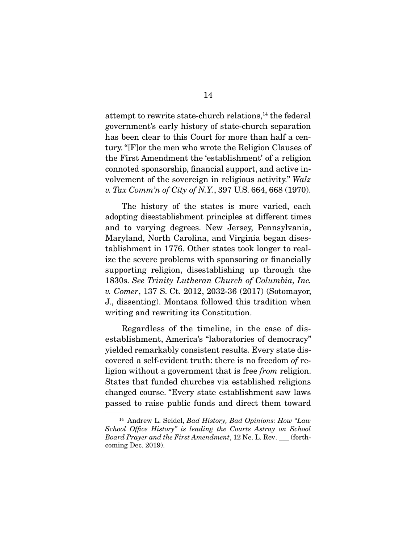attempt to rewrite state-church relations,<sup>14</sup> the federal government's early history of state-church separation has been clear to this Court for more than half a century. "[F]or the men who wrote the Religion Clauses of the First Amendment the 'establishment' of a religion connoted sponsorship, financial support, and active involvement of the sovereign in religious activity." *Walz v. Tax Comm'n of City of N.Y.*, 397 U.S. 664, 668 (1970).

 The history of the states is more varied, each adopting disestablishment principles at different times and to varying degrees. New Jersey, Pennsylvania, Maryland, North Carolina, and Virginia began disestablishment in 1776. Other states took longer to realize the severe problems with sponsoring or financially supporting religion, disestablishing up through the 1830s. *See Trinity Lutheran Church of Columbia, Inc. v. Comer*, 137 S. Ct. 2012, 2032-36 (2017) (Sotomayor, J., dissenting). Montana followed this tradition when writing and rewriting its Constitution.

 Regardless of the timeline, in the case of disestablishment, America's "laboratories of democracy" yielded remarkably consistent results. Every state discovered a self-evident truth: there is no freedom *of* religion without a government that is free *from* religion. States that funded churches via established religions changed course. "Every state establishment saw laws passed to raise public funds and direct them toward

<sup>14</sup> Andrew L. Seidel, *Bad History, Bad Opinions: How "Law School Office History" is leading the Courts Astray on School Board Prayer and the First Amendment*, 12 Ne. L. Rev. \_\_\_ (forthcoming Dec. 2019).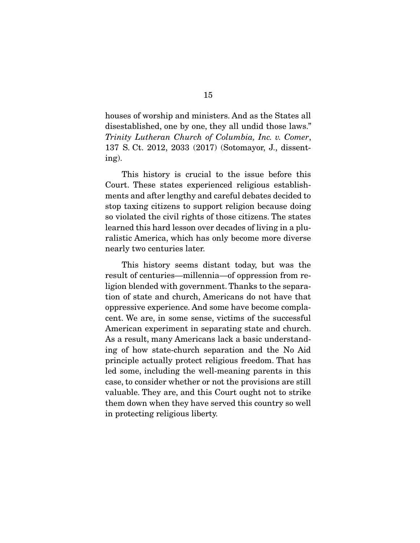houses of worship and ministers. And as the States all disestablished, one by one, they all undid those laws." *Trinity Lutheran Church of Columbia, Inc. v. Comer*, 137 S. Ct. 2012, 2033 (2017) (Sotomayor, J., dissenting).

 This history is crucial to the issue before this Court. These states experienced religious establishments and after lengthy and careful debates decided to stop taxing citizens to support religion because doing so violated the civil rights of those citizens. The states learned this hard lesson over decades of living in a pluralistic America, which has only become more diverse nearly two centuries later.

 This history seems distant today, but was the result of centuries—millennia—of oppression from religion blended with government. Thanks to the separation of state and church, Americans do not have that oppressive experience. And some have become complacent. We are, in some sense, victims of the successful American experiment in separating state and church. As a result, many Americans lack a basic understanding of how state-church separation and the No Aid principle actually protect religious freedom. That has led some, including the well-meaning parents in this case, to consider whether or not the provisions are still valuable. They are, and this Court ought not to strike them down when they have served this country so well in protecting religious liberty.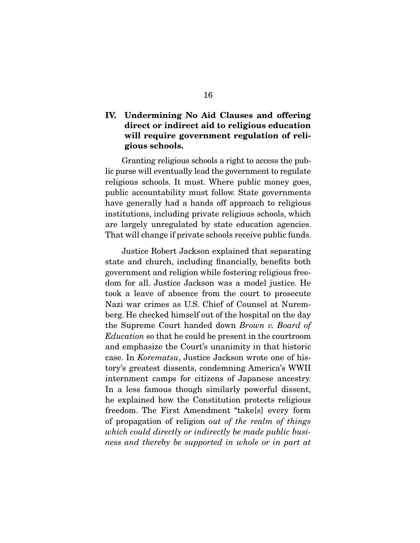## IV. Undermining No Aid Clauses and offering direct or indirect aid to religious education will require government regulation of religious schools.

 Granting religious schools a right to access the public purse will eventually lead the government to regulate religious schools. It must. Where public money goes, public accountability must follow. State governments have generally had a hands off approach to religious institutions, including private religious schools, which are largely unregulated by state education agencies. That will change if private schools receive public funds.

 Justice Robert Jackson explained that separating state and church, including financially, benefits both government and religion while fostering religious freedom for all. Justice Jackson was a model justice. He took a leave of absence from the court to prosecute Nazi war crimes as U.S. Chief of Counsel at Nuremberg. He checked himself out of the hospital on the day the Supreme Court handed down *Brown v. Board of Education* so that he could be present in the courtroom and emphasize the Court's unanimity in that historic case. In *Korematsu*, Justice Jackson wrote one of history's greatest dissents, condemning America's WWII internment camps for citizens of Japanese ancestry. In a less famous though similarly powerful dissent, he explained how the Constitution protects religious freedom. The First Amendment "take[s] every form of propagation of religion *out of the realm of things which could directly or indirectly be made public business and thereby be supported in whole or in part at*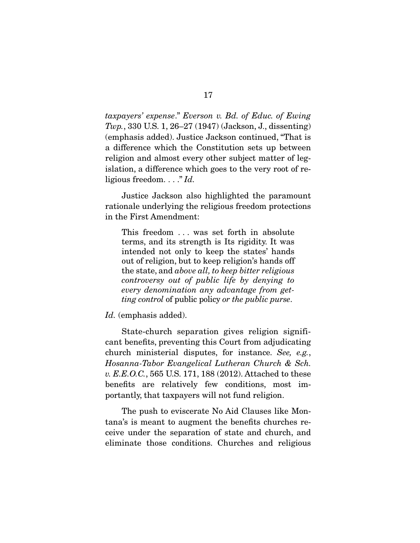*taxpayers' expense*." *Everson v. Bd. of Educ. of Ewing Twp.*, 330 U.S. 1, 26–27 (1947) (Jackson, J., dissenting) (emphasis added). Justice Jackson continued, "That is a difference which the Constitution sets up between religion and almost every other subject matter of legislation, a difference which goes to the very root of religious freedom. . . ." *Id.* 

 Justice Jackson also highlighted the paramount rationale underlying the religious freedom protections in the First Amendment:

This freedom . . . was set forth in absolute terms, and its strength is Its rigidity. It was intended not only to keep the states' hands out of religion, but to keep religion's hands off the state, and *above all, to keep bitter religious controversy out of public life by denying to every denomination any advantage from getting control* of public policy *or the public purse*.

*Id.* (emphasis added).

 State-church separation gives religion significant benefits, preventing this Court from adjudicating church ministerial disputes, for instance. *See, e.g.*, *Hosanna-Tabor Evangelical Lutheran Church & Sch. v. E.E.O.C.*, 565 U.S. 171, 188 (2012). Attached to these benefits are relatively few conditions, most importantly, that taxpayers will not fund religion.

 The push to eviscerate No Aid Clauses like Montana's is meant to augment the benefits churches receive under the separation of state and church, and eliminate those conditions. Churches and religious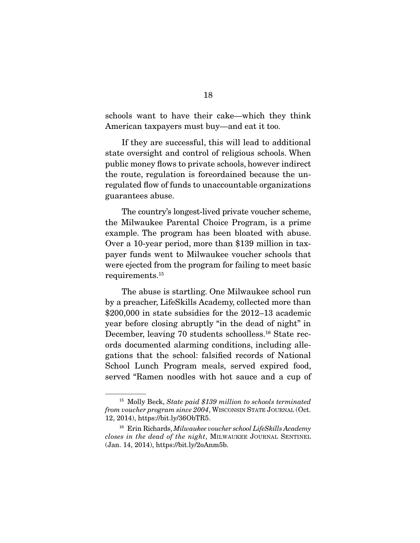schools want to have their cake—which they think American taxpayers must buy—and eat it too.

 If they are successful, this will lead to additional state oversight and control of religious schools. When public money flows to private schools, however indirect the route, regulation is foreordained because the unregulated flow of funds to unaccountable organizations guarantees abuse.

 The country's longest-lived private voucher scheme, the Milwaukee Parental Choice Program, is a prime example. The program has been bloated with abuse. Over a 10-year period, more than \$139 million in taxpayer funds went to Milwaukee voucher schools that were ejected from the program for failing to meet basic requirements.15

 The abuse is startling. One Milwaukee school run by a preacher, LifeSkills Academy, collected more than \$200,000 in state subsidies for the 2012–13 academic year before closing abruptly "in the dead of night" in December, leaving 70 students schoolless.16 State records documented alarming conditions, including allegations that the school: falsified records of National School Lunch Program meals, served expired food, served "Ramen noodles with hot sauce and a cup of

<sup>15</sup> Molly Beck, *State paid \$139 million to schools terminated from voucher program since 2004*, WISCONSIN STATE JOURNAL (Oct. 12, 2014), https://bit.ly/36ObTR5.

<sup>16</sup> Erin Richards, *Milwaukee voucher school LifeSkills Academy closes in the dead of the night*, MILWAUKEE JOURNAL SENTINEL (Jan. 14, 2014), https://bit.ly/2oAnm5b.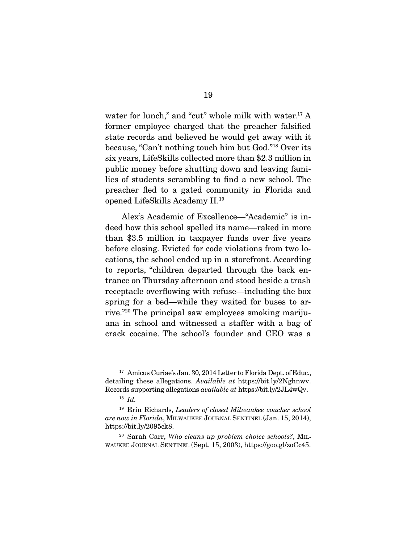water for lunch," and "cut" whole milk with water.<sup>17</sup> A former employee charged that the preacher falsified state records and believed he would get away with it because, "Can't nothing touch him but God."18 Over its six years, LifeSkills collected more than \$2.3 million in public money before shutting down and leaving families of students scrambling to find a new school. The preacher fled to a gated community in Florida and opened LifeSkills Academy II.19

 Alex's Academic of Excellence—"Academic" is indeed how this school spelled its name—raked in more than \$3.5 million in taxpayer funds over five years before closing. Evicted for code violations from two locations, the school ended up in a storefront. According to reports, "children departed through the back entrance on Thursday afternoon and stood beside a trash receptacle overflowing with refuse—including the box spring for a bed—while they waited for buses to arrive."20 The principal saw employees smoking marijuana in school and witnessed a staffer with a bag of crack cocaine. The school's founder and CEO was a

<sup>&</sup>lt;sup>17</sup> Amicus Curiae's Jan. 30, 2014 Letter to Florida Dept. of Educ., detailing these allegations. *Available at* https://bit.ly/2Nghnwv. Records supporting allegations *available at* https://bit.ly/2JL4wQv.

<sup>18</sup> *Id.*

<sup>19</sup> Erin Richards, *Leaders of closed Milwaukee voucher school are now in Florida*, MILWAUKEE JOURNAL SENTINEL (Jan. 15, 2014), https://bit.ly/2095ck8.

<sup>20</sup> Sarah Carr, *Who cleans up problem choice schools?*, MIL-WAUKEE JOURNAL SENTINEL (Sept. 15, 2003), https://goo.gl/zoCc45.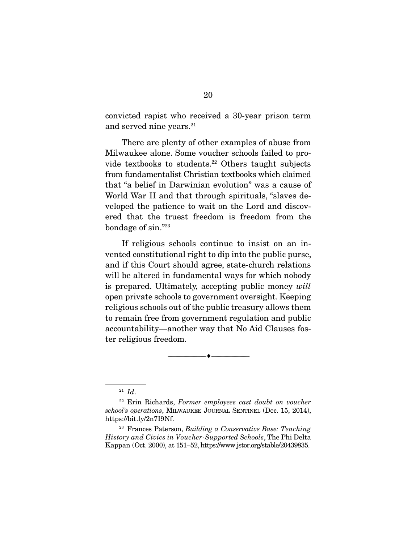convicted rapist who received a 30-year prison term and served nine years.<sup>21</sup>

 There are plenty of other examples of abuse from Milwaukee alone. Some voucher schools failed to provide textbooks to students.22 Others taught subjects from fundamentalist Christian textbooks which claimed that "a belief in Darwinian evolution" was a cause of World War II and that through spirituals, "slaves developed the patience to wait on the Lord and discovered that the truest freedom is freedom from the bondage of sin."23

 If religious schools continue to insist on an invented constitutional right to dip into the public purse, and if this Court should agree, state-church relations will be altered in fundamental ways for which nobody is prepared. Ultimately, accepting public money *will* open private schools to government oversight. Keeping religious schools out of the public treasury allows them to remain free from government regulation and public accountability—another way that No Aid Clauses foster religious freedom.

--------------------------------- ---------------------------------

<sup>23</sup> Frances Paterson, *Building a Conservative Base: Teaching History and Civics in Voucher-Supported Schools*, The Phi Delta Kappan (Oct. 2000), at 151–52, https://www.jstor.org/stable/20439835.

<sup>21</sup> *Id*.

<sup>22</sup> Erin Richards, *Former employees cast doubt on voucher school's operations*, MILWAUKEE JOURNAL SENTINEL (Dec. 15, 2014), https://bit.ly/2n7I9Nf.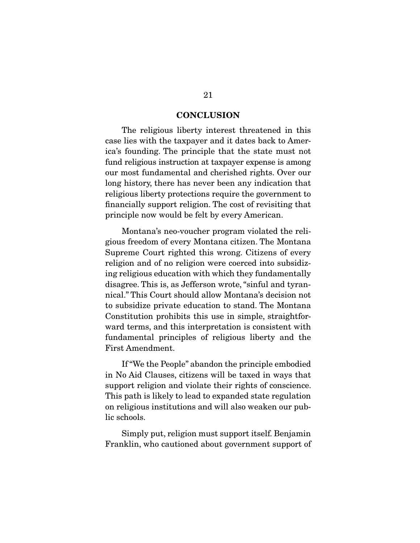#### **CONCLUSION**

 The religious liberty interest threatened in this case lies with the taxpayer and it dates back to America's founding. The principle that the state must not fund religious instruction at taxpayer expense is among our most fundamental and cherished rights. Over our long history, there has never been any indication that religious liberty protections require the government to financially support religion. The cost of revisiting that principle now would be felt by every American.

 Montana's neo-voucher program violated the religious freedom of every Montana citizen. The Montana Supreme Court righted this wrong. Citizens of every religion and of no religion were coerced into subsidizing religious education with which they fundamentally disagree. This is, as Jefferson wrote, "sinful and tyrannical." This Court should allow Montana's decision not to subsidize private education to stand. The Montana Constitution prohibits this use in simple, straightforward terms, and this interpretation is consistent with fundamental principles of religious liberty and the First Amendment.

 If "We the People" abandon the principle embodied in No Aid Clauses, citizens will be taxed in ways that support religion and violate their rights of conscience. This path is likely to lead to expanded state regulation on religious institutions and will also weaken our public schools.

 Simply put, religion must support itself. Benjamin Franklin, who cautioned about government support of